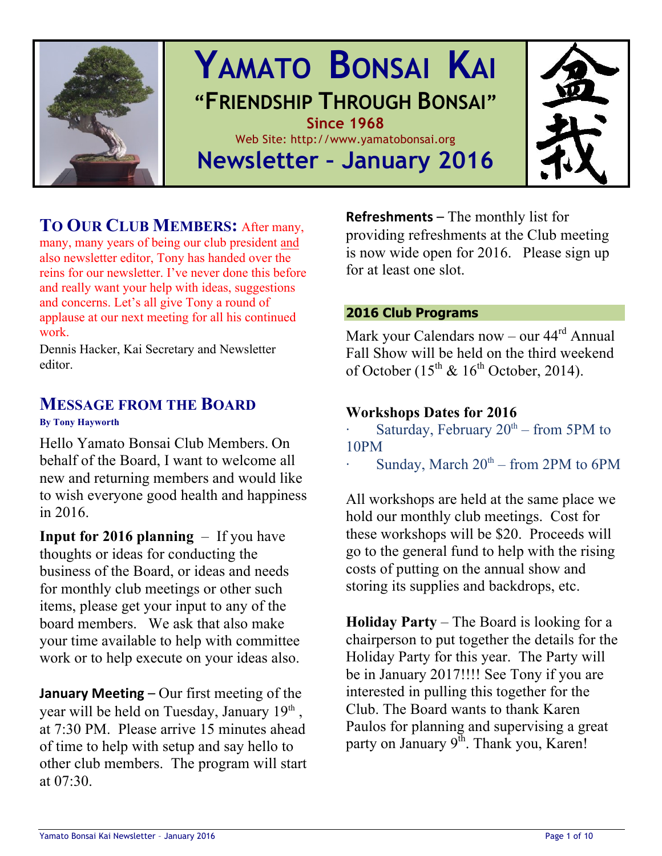

# **YAMATO BONSAI KAI "FRIENDSHIP THROUGH BONSAI" Since 1968** Web Site: http://www.yamatobonsai.org **Newsletter – January 2016**



## **TO OUR CLUB MEMBERS:** After many,

many, many years of being our club president and also newsletter editor, Tony has handed over the reins for our newsletter. I've never done this before and really want your help with ideas, suggestions and concerns. Let's all give Tony a round of applause at our next meeting for all his continued work.

Dennis Hacker, Kai Secretary and Newsletter editor.

## **MESSAGE FROM THE BOARD**

**By Tony Hayworth** 

Hello Yamato Bonsai Club Members. On behalf of the Board, I want to welcome all new and returning members and would like to wish everyone good health and happiness in 2016.

**Input for 2016 planning** – If you have thoughts or ideas for conducting the business of the Board, or ideas and needs for monthly club meetings or other such items, please get your input to any of the board members. We ask that also make your time available to help with committee work or to help execute on your ideas also.

**January Meeting** – Our first meeting of the year will be held on Tuesday, January 19<sup>th</sup>, at 7:30 PM. Please arrive 15 minutes ahead of time to help with setup and say hello to other club members. The program will start at 07:30.

**Refreshments** – The monthly list for providing refreshments at the Club meeting is now wide open for 2016. Please sign up for at least one slot.

### **2016 Club Programs**

Mark your Calendars now – our  $44^{rd}$  Annual Fall Show will be held on the third weekend of October ( $15^{th}$  &  $16^{th}$  October, 2014).

### **Workshops Dates for 2016**

Saturday, February  $20<sup>th</sup>$  – from 5PM to 10PM

Sunday, March  $20<sup>th</sup>$  – from 2PM to 6PM

All workshops are held at the same place we hold our monthly club meetings. Cost for these workshops will be \$20. Proceeds will go to the general fund to help with the rising costs of putting on the annual show and storing its supplies and backdrops, etc.

**Holiday Party** – The Board is looking for a chairperson to put together the details for the Holiday Party for this year. The Party will be in January 2017!!!! See Tony if you are interested in pulling this together for the Club. The Board wants to thank Karen Paulos for planning and supervising a great party on January  $9^{\text{th}}$ . Thank you, Karen!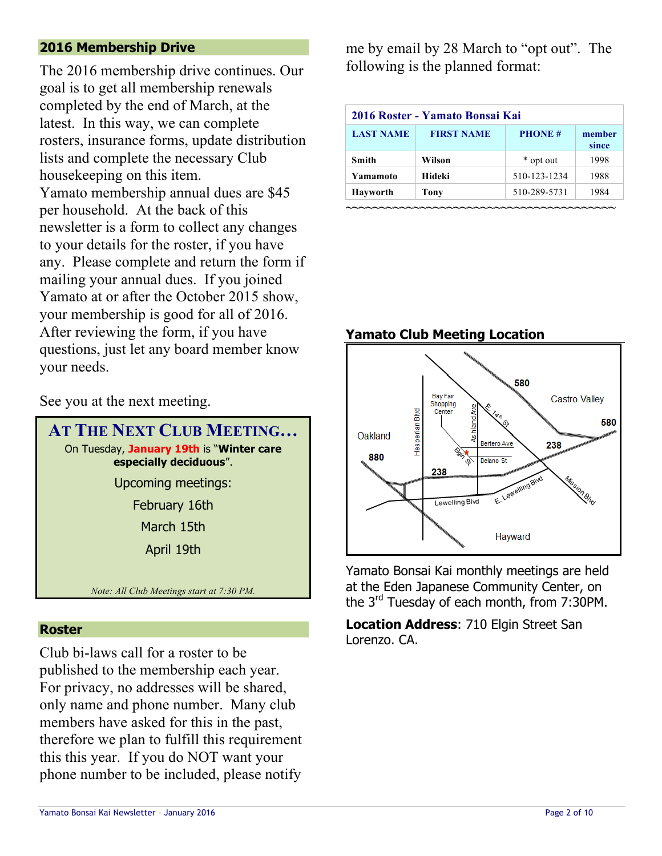### **2016 Membership Drive**

The 2016 membership drive continues. Our goal is to get all membership renewals completed by the end of March, at the latest. In this way, we can complete rosters, insurance forms, update distribution lists and complete the necessary Club housekeeping on this item. Yamato membership annual dues are \$45 per household. At the back of this newsletter is a form to collect any changes to your details for the roster, if you have any. Please complete and return the form if mailing your annual dues. If you joined Yamato at or after the October 2015 show, your membership is good for all of 2016. After reviewing the form, if you have questions, just let any board member know your needs.

See you at the next meeting.



### **Roster**

Club bi-laws call for a roster to be published to the membership each year. For privacy, no addresses will be shared, only name and phone number. Many club members have asked for this in the past, therefore we plan to fulfill this requirement this this year. If you do NOT want your phone number to be included, please notify

me by email by 28 March to "opt out". The following is the planned format:

| 2016 Roster - Yamato Bonsai Kai |                   |               |                 |
|---------------------------------|-------------------|---------------|-----------------|
| <b>LAST NAME</b>                | <b>FIRST NAME</b> | <b>PHONE#</b> | member<br>since |
| Smith                           | Wilson            | * opt out     | 1998            |
| Yamamoto                        | Hideki            | 510-123-1234  | 1988            |
| <b>Hayworth</b>                 | Tony              | 510-289-5731  | 1984            |

**Yamato Club Meeting Location** 



Yamato Bonsai Kai monthly meetings are held at the Eden Japanese Community Center, on the 3rd Tuesday of each month, from 7:30PM.

**Location Address**: 710 Elgin Street San Lorenzo. CA.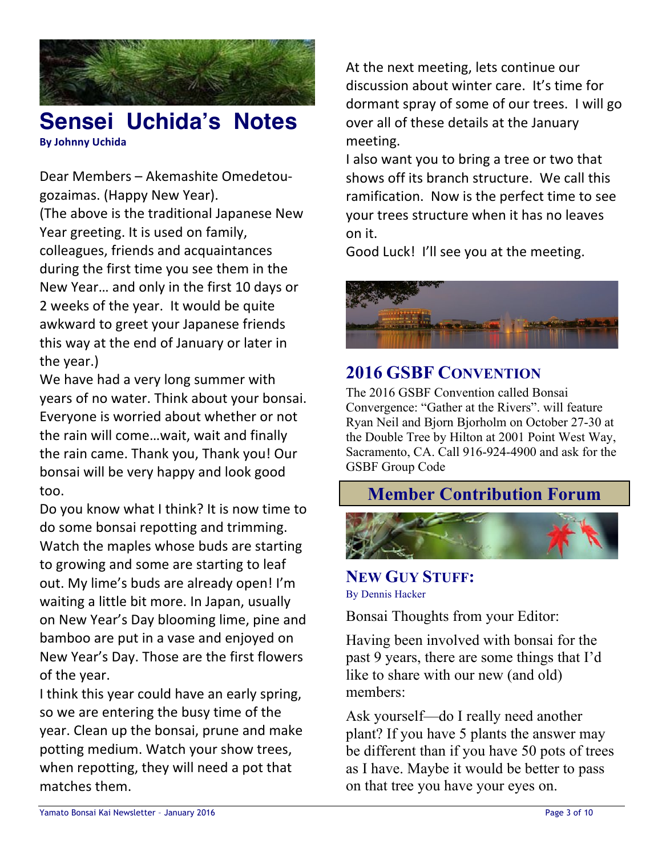

## **Sensei Uchida's Notes By Johnny Uchida**

Dear Members – Akemashite Omedetougozaimas. (Happy New Year). (The above is the traditional Japanese New Year greeting. It is used on family, colleagues, friends and acquaintances during the first time you see them in the New Year... and only in the first 10 days or 2 weeks of the year. It would be quite awkward to greet your Japanese friends this way at the end of January or later in the year.)

We have had a very long summer with years of no water. Think about your bonsai. Everyone is worried about whether or not the rain will come...wait, wait and finally the rain came. Thank you, Thank you! Our bonsai will be very happy and look good too.

Do you know what I think? It is now time to do some bonsai repotting and trimming. Watch the maples whose buds are starting to growing and some are starting to leaf out. My lime's buds are already open! I'm waiting a little bit more. In Japan, usually on New Year's Day blooming lime, pine and bamboo are put in a vase and enjoyed on New Year's Day. Those are the first flowers of the year.

I think this year could have an early spring, so we are entering the busy time of the year. Clean up the bonsai, prune and make potting medium. Watch your show trees, when repotting, they will need a pot that matches them.

At the next meeting, lets continue our discussion about winter care. It's time for dormant spray of some of our trees. I will go over all of these details at the January meeting.

I also want you to bring a tree or two that shows off its branch structure. We call this ramification. Now is the perfect time to see your trees structure when it has no leaves on it.

Good Luck! I'll see you at the meeting.



## **2016 GSBF CONVENTION**

The 2016 GSBF Convention called Bonsai Convergence: "Gather at the Rivers". will feature Ryan Neil and Bjorn Bjorholm on October 27-30 at the Double Tree by Hilton at 2001 Point West Way, Sacramento, CA. Call 916-924-4900 and ask for the GSBF Group Code



**NEW GUY STUFF:** By Dennis Hacker

Bonsai Thoughts from your Editor:

Having been involved with bonsai for the past 9 years, there are some things that I'd like to share with our new (and old) members:

Ask yourself—do I really need another plant? If you have 5 plants the answer may be different than if you have 50 pots of trees as I have. Maybe it would be better to pass on that tree you have your eyes on.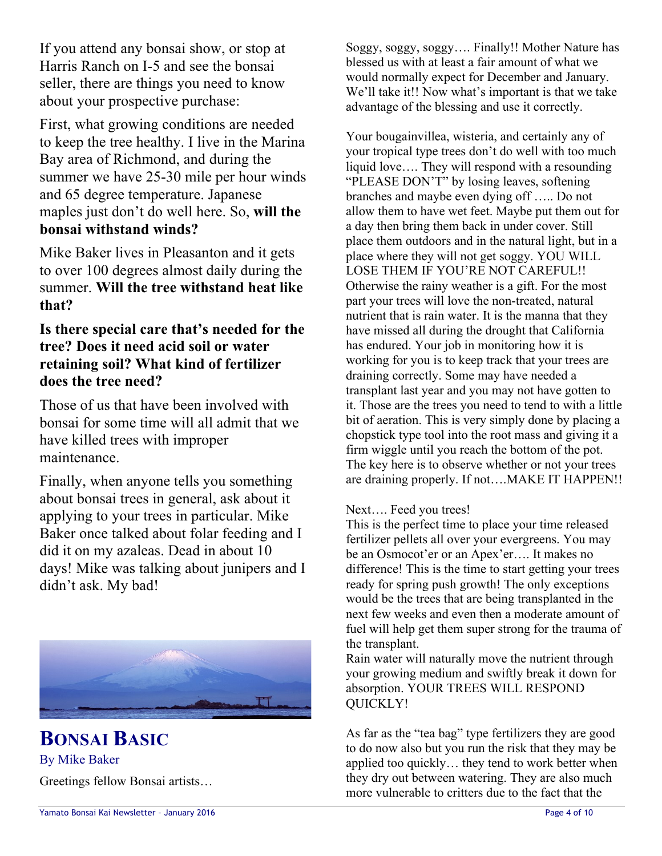If you attend any bonsai show, or stop at Harris Ranch on I-5 and see the bonsai seller, there are things you need to know about your prospective purchase:

First, what growing conditions are needed to keep the tree healthy. I live in the Marina Bay area of Richmond, and during the summer we have 25-30 mile per hour winds and 65 degree temperature. Japanese maples just don't do well here. So, **will the bonsai withstand winds?**

Mike Baker lives in Pleasanton and it gets to over 100 degrees almost daily during the summer. **Will the tree withstand heat like that?**

### **Is there special care that's needed for the tree? Does it need acid soil or water retaining soil? What kind of fertilizer does the tree need?**

Those of us that have been involved with bonsai for some time will all admit that we have killed trees with improper maintenance.

Finally, when anyone tells you something about bonsai trees in general, ask about it applying to your trees in particular. Mike Baker once talked about folar feeding and I did it on my azaleas. Dead in about 10 days! Mike was talking about junipers and I didn't ask. My bad!



## **BONSAI BASIC** By Mike Baker Greetings fellow Bonsai artists…

Soggy, soggy, soggy…. Finally!! Mother Nature has blessed us with at least a fair amount of what we would normally expect for December and January. We'll take it!! Now what's important is that we take advantage of the blessing and use it correctly.

Your bougainvillea, wisteria, and certainly any of your tropical type trees don't do well with too much liquid love…. They will respond with a resounding "PLEASE DON'T" by losing leaves, softening branches and maybe even dying off ….. Do not allow them to have wet feet. Maybe put them out for a day then bring them back in under cover. Still place them outdoors and in the natural light, but in a place where they will not get soggy. YOU WILL LOSE THEM IF YOU'RE NOT CAREFUL!! Otherwise the rainy weather is a gift. For the most part your trees will love the non-treated, natural nutrient that is rain water. It is the manna that they have missed all during the drought that California has endured. Your job in monitoring how it is working for you is to keep track that your trees are draining correctly. Some may have needed a transplant last year and you may not have gotten to it. Those are the trees you need to tend to with a little bit of aeration. This is very simply done by placing a chopstick type tool into the root mass and giving it a firm wiggle until you reach the bottom of the pot. The key here is to observe whether or not your trees are draining properly. If not….MAKE IT HAPPEN!!

### Next…. Feed you trees!

This is the perfect time to place your time released fertilizer pellets all over your evergreens. You may be an Osmocot'er or an Apex'er…. It makes no difference! This is the time to start getting your trees ready for spring push growth! The only exceptions would be the trees that are being transplanted in the next few weeks and even then a moderate amount of fuel will help get them super strong for the trauma of the transplant.

Rain water will naturally move the nutrient through your growing medium and swiftly break it down for absorption. YOUR TREES WILL RESPOND QUICKLY!

As far as the "tea bag" type fertilizers they are good to do now also but you run the risk that they may be applied too quickly… they tend to work better when they dry out between watering. They are also much more vulnerable to critters due to the fact that the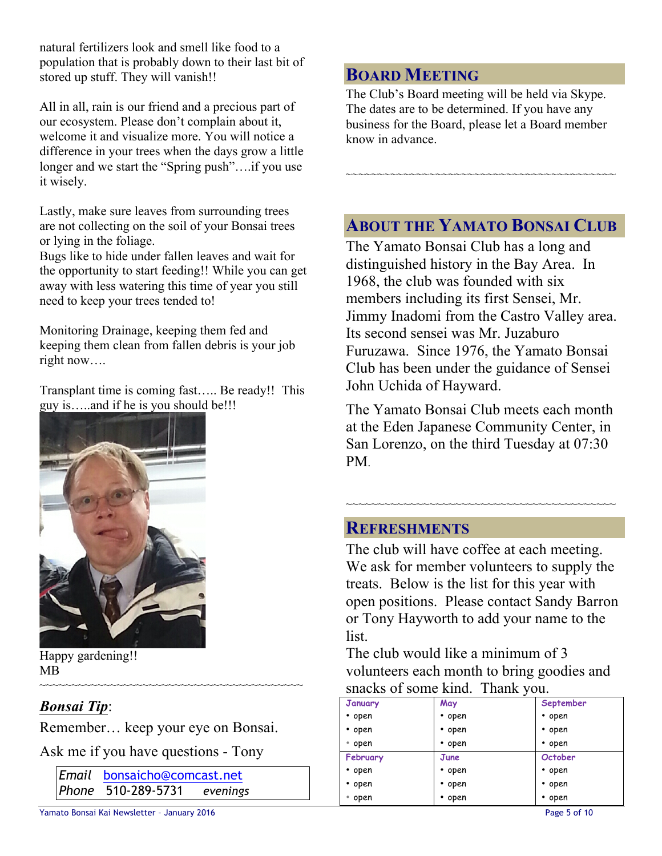natural fertilizers look and smell like food to a population that is probably down to their last bit of stored up stuff. They will vanish!!

All in all, rain is our friend and a precious part of our ecosystem. Please don't complain about it, welcome it and visualize more. You will notice a difference in your trees when the days grow a little longer and we start the "Spring push"….if you use it wisely.

Lastly, make sure leaves from surrounding trees are not collecting on the soil of your Bonsai trees or lying in the foliage.

Bugs like to hide under fallen leaves and wait for the opportunity to start feeding!! While you can get away with less watering this time of year you still need to keep your trees tended to!

Monitoring Drainage, keeping them fed and keeping them clean from fallen debris is your job right now….

Transplant time is coming fast….. Be ready!! This guy is…..and if he is you should be!!!



Happy gardening!! MB

### *Bonsai Tip*:

Remember… keep your eye on Bonsai.

~~~~~~~~~~~~~~~~~~~~~~~~~~~~~~~~~~~~~~~~~

Ask me if you have questions - Tony

*Email* bonsaicho@comcast.net *Phone* 510-289-5731 *evenings*

## **BOARD MEETING**

The Club's Board meeting will be held via Skype. The dates are to be determined. If you have any business for the Board, please let a Board member know in advance.

## **ABOUT THE YAMATO BONSAI CLUB**

~~~~~~~~~~~~~~~~~~~~~~~~~~~~~~~~~~~~~~~~~~

The Yamato Bonsai Club has a long and distinguished history in the Bay Area. In 1968, the club was founded with six members including its first Sensei, Mr. Jimmy Inadomi from the Castro Valley area. Its second sensei was Mr. Juzaburo Furuzawa. Since 1976, the Yamato Bonsai Club has been under the guidance of Sensei John Uchida of Hayward.

The Yamato Bonsai Club meets each month at the Eden Japanese Community Center, in San Lorenzo, on the third Tuesday at 07:30 PM.

~~~~~~~~~~~~~~~~~~~~~~~~~~~~~~~~~~~~~~~~~~

### **REFRESHMENTS**

The club will have coffee at each meeting. We ask for member volunteers to supply the treats. Below is the list for this year with open positions. Please contact Sandy Barron or Tony Hayworth to add your name to the list.

The club would like a minimum of 3 volunteers each month to bring goodies and snacks of some kind. Thank you.

| January  | May          | September    |
|----------|--------------|--------------|
| • open   | • open       | $\cdot$ open |
| • open   | $\cdot$ open | $\cdot$ open |
| ∙ open   | $\cdot$ open | $\cdot$ open |
| February | June         | October      |
| • open   | $\cdot$ open | $\cdot$ open |
| • open   | $\cdot$ open | $\cdot$ open |
| • open   | • open       | $\cdot$ open |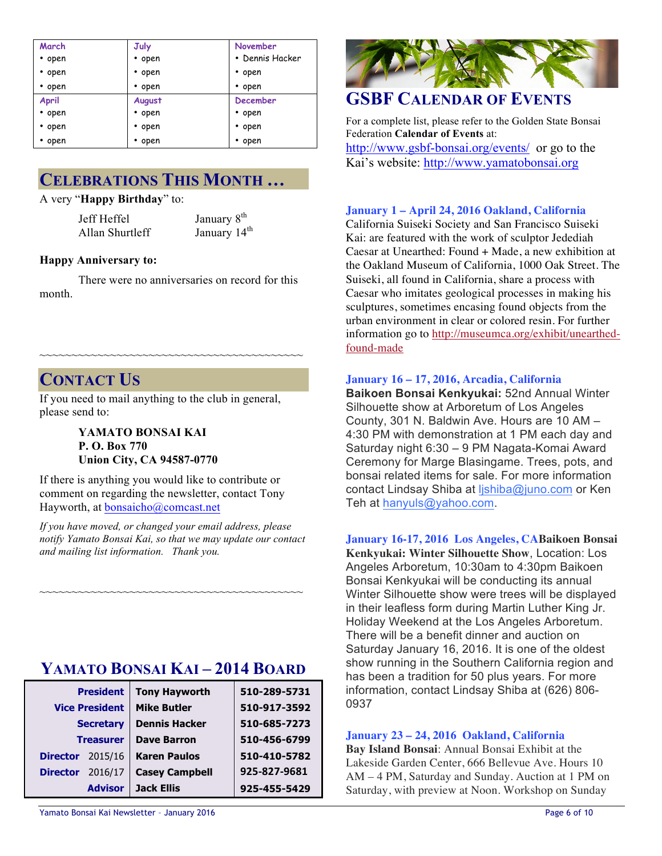| March        | <b>July</b>  | <b>November</b> |
|--------------|--------------|-----------------|
| • open       | • open       | • Dennis Hacker |
| $\cdot$ open | $\cdot$ open | $\cdot$ open    |
| $\cdot$ open | $\cdot$ open | $\cdot$ open    |
| <b>April</b> | August       | <b>December</b> |
| • open       | • open       | • open          |
| $\cdot$ open | • open       | • open          |
| $\cdot$ open | $\cdot$ open | $\cdot$ open    |

### **CELEBRATIONS THIS MONTH …**

#### A very "**Happy Birthday**" to:

Jeff Heffel January 8<sup>th</sup> Allan Shurtleff January 14<sup>th</sup>

#### **Happy Anniversary to:**

There were no anniversaries on record for this month.

~~~~~~~~~~~~~~~~~~~~~~~~~~~~~~~~~~~~~~~~~

### **CONTACT US**

If you need to mail anything to the club in general, please send to:

#### **YAMATO BONSAI KAI P. O. Box 770 Union City, CA 94587-0770**

If there is anything you would like to contribute or comment on regarding the newsletter, contact Tony Hayworth, at bonsaicho@comcast.net

*If you have moved, or changed your email address, please notify Yamato Bonsai Kai, so that we may update our contact and mailing list information. Thank you.*

~~~~~~~~~~~~~~~~~~~~~~~~~~~~~~~~~~~~~~~~~

### **YAMATO BONSAI KAI – 2014 BOARD**

| <b>President</b>      |                | <b>Tony Hayworth</b>  | 510-289-5731 |
|-----------------------|----------------|-----------------------|--------------|
| <b>Vice President</b> |                | <b>Mike Butler</b>    | 510-917-3592 |
| <b>Secretary</b>      |                | <b>Dennis Hacker</b>  | 510-685-7273 |
| <b>Treasurer</b>      |                | <b>Dave Barron</b>    | 510-456-6799 |
| <b>Director</b>       | 2015/16        | <b>Karen Paulos</b>   | 510-410-5782 |
| <b>Director</b>       | 2016/17        | <b>Casey Campbell</b> | 925-827-9681 |
|                       | <b>Advisor</b> | <b>Jack Ellis</b>     | 925-455-5429 |



### **GSBF CALENDAR OF EVENTS**

For a complete list, please refer to the Golden State Bonsai Federation **Calendar of Events** at: http://www.gsbf-bonsai.org/events/ or go to the Kai's website: http://www.yamatobonsai.org

#### **January 1 – April 24, 2016 Oakland, California**

California Suiseki Society and San Francisco Suiseki Kai: are featured with the work of sculptor Jedediah Caesar at Unearthed: Found + Made, a new exhibition at the Oakland Museum of California, 1000 Oak Street. The Suiseki, all found in California, share a process with Caesar who imitates geological processes in making his sculptures, sometimes encasing found objects from the urban environment in clear or colored resin. For further information go to http://museumca.org/exhibit/unearthedfound-made

#### **January 16 – 17, 2016, Arcadia, California**

**Baikoen Bonsai Kenkyukai:** 52nd Annual Winter Silhouette show at Arboretum of Los Angeles County, 301 N. Baldwin Ave. Hours are 10 AM – 4:30 PM with demonstration at 1 PM each day and Saturday night 6:30 – 9 PM Nagata-Komai Award Ceremony for Marge Blasingame. Trees, pots, and bonsai related items for sale. For more information contact Lindsay Shiba at lishiba@juno.com or Ken Teh at hanyuls@yahoo.com.

**January 16-17, 2016 Los Angeles, CABaikoen Bonsai Kenkyukai: Winter Silhouette Show**, Location: Los Angeles Arboretum, 10:30am to 4:30pm Baikoen Bonsai Kenkyukai will be conducting its annual Winter Silhouette show were trees will be displayed in their leafless form during Martin Luther King Jr. Holiday Weekend at the Los Angeles Arboretum. There will be a benefit dinner and auction on Saturday January 16, 2016. It is one of the oldest show running in the Southern California region and has been a tradition for 50 plus years. For more information, contact Lindsay Shiba at (626) 806- 0937

#### **January 23 – 24, 2016 Oakland, California**

**Bay Island Bonsai**: Annual Bonsai Exhibit at the Lakeside Garden Center, 666 Bellevue Ave. Hours 10 AM – 4 PM, Saturday and Sunday. Auction at 1 PM on Saturday, with preview at Noon. Workshop on Sunday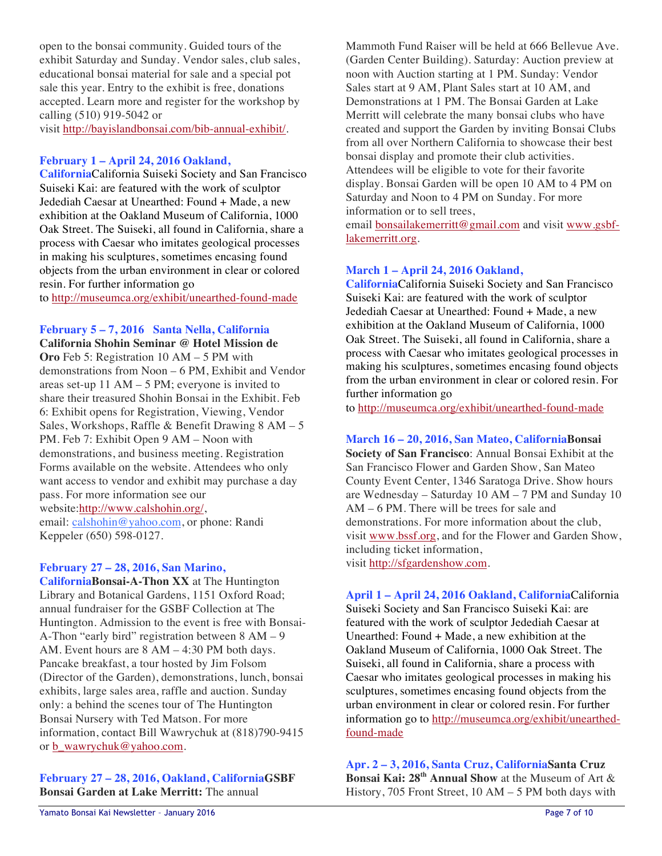open to the bonsai community. Guided tours of the exhibit Saturday and Sunday. Vendor sales, club sales, educational bonsai material for sale and a special pot sale this year. Entry to the exhibit is free, donations accepted. Learn more and register for the workshop by calling (510) 919-5042 or

visit http://bayislandbonsai.com/bib-annual-exhibit/.

#### **February 1 – April 24, 2016 Oakland,**

**California**California Suiseki Society and San Francisco Suiseki Kai: are featured with the work of sculptor Jedediah Caesar at Unearthed: Found + Made, a new exhibition at the Oakland Museum of California, 1000 Oak Street. The Suiseki, all found in California, share a process with Caesar who imitates geological processes in making his sculptures, sometimes encasing found objects from the urban environment in clear or colored resin. For further information go

to http://museumca.org/exhibit/unearthed-found-made

#### **February 5 – 7, 2016 Santa Nella, California**

**California Shohin Seminar @ Hotel Mission de Oro** Feb 5: Registration 10 AM – 5 PM with demonstrations from Noon – 6 PM, Exhibit and Vendor areas set-up 11 AM – 5 PM; everyone is invited to share their treasured Shohin Bonsai in the Exhibit. Feb 6: Exhibit opens for Registration, Viewing, Vendor Sales, Workshops, Raffle & Benefit Drawing  $8 AM - 5$ PM. Feb 7: Exhibit Open 9 AM – Noon with demonstrations, and business meeting. Registration Forms available on the website. Attendees who only want access to vendor and exhibit may purchase a day pass. For more information see our website:http://www.calshohin.org/, email: calshohin@yahoo.com, or phone: Randi Keppeler (650) 598-0127.

#### **February 27 – 28, 2016, San Marino,**

**CaliforniaBonsai-A-Thon XX** at The Huntington Library and Botanical Gardens, 1151 Oxford Road; annual fundraiser for the GSBF Collection at The Huntington. Admission to the event is free with Bonsai-A-Thon "early bird" registration between  $8 AM - 9$ AM. Event hours are 8 AM – 4:30 PM both days. Pancake breakfast, a tour hosted by Jim Folsom (Director of the Garden), demonstrations, lunch, bonsai exhibits, large sales area, raffle and auction. Sunday only: a behind the scenes tour of The Huntington Bonsai Nursery with Ted Matson. For more information, contact Bill Wawrychuk at (818)790-9415 or b\_wawrychuk@yahoo.com.

**February 27 – 28, 2016, Oakland, CaliforniaGSBF Bonsai Garden at Lake Merritt:** The annual

Mammoth Fund Raiser will be held at 666 Bellevue Ave. (Garden Center Building). Saturday: Auction preview at noon with Auction starting at 1 PM. Sunday: Vendor Sales start at 9 AM, Plant Sales start at 10 AM, and Demonstrations at 1 PM. The Bonsai Garden at Lake Merritt will celebrate the many bonsai clubs who have created and support the Garden by inviting Bonsai Clubs from all over Northern California to showcase their best bonsai display and promote their club activities. Attendees will be eligible to vote for their favorite display. Bonsai Garden will be open 10 AM to 4 PM on Saturday and Noon to 4 PM on Sunday. For more information or to sell trees,

email bonsailakemerritt@gmail.com and visit www.gsbflakemerritt.org.

#### **March 1 – April 24, 2016 Oakland,**

**California**California Suiseki Society and San Francisco Suiseki Kai: are featured with the work of sculptor Jedediah Caesar at Unearthed: Found + Made, a new exhibition at the Oakland Museum of California, 1000 Oak Street. The Suiseki, all found in California, share a process with Caesar who imitates geological processes in making his sculptures, sometimes encasing found objects from the urban environment in clear or colored resin. For further information go

to http://museumca.org/exhibit/unearthed-found-made

#### **March 16 – 20, 2016, San Mateo, CaliforniaBonsai**

**Society of San Francisco**: Annual Bonsai Exhibit at the San Francisco Flower and Garden Show, San Mateo County Event Center, 1346 Saratoga Drive. Show hours are Wednesday – Saturday 10 AM – 7 PM and Sunday 10 AM – 6 PM. There will be trees for sale and demonstrations. For more information about the club, visit www.bssf.org, and for the Flower and Garden Show, including ticket information, visit http://sfgardenshow.com.

**April 1 – April 24, 2016 Oakland, California**California Suiseki Society and San Francisco Suiseki Kai: are featured with the work of sculptor Jedediah Caesar at Unearthed: Found + Made, a new exhibition at the Oakland Museum of California, 1000 Oak Street. The Suiseki, all found in California, share a process with Caesar who imitates geological processes in making his sculptures, sometimes encasing found objects from the urban environment in clear or colored resin. For further information go to http://museumca.org/exhibit/unearthedfound-made

**Apr. 2 – 3, 2016, Santa Cruz, CaliforniaSanta Cruz Bonsai Kai: 28th Annual Show** at the Museum of Art & History, 705 Front Street, 10 AM – 5 PM both days with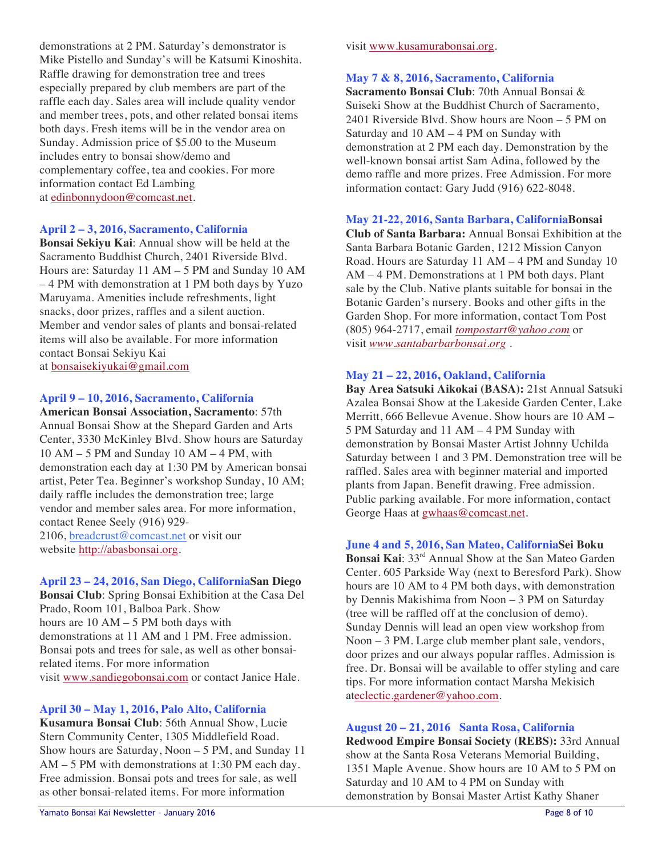demonstrations at 2 PM. Saturday's demonstrator is Mike Pistello and Sunday's will be Katsumi Kinoshita. Raffle drawing for demonstration tree and trees especially prepared by club members are part of the raffle each day. Sales area will include quality vendor and member trees, pots, and other related bonsai items both days. Fresh items will be in the vendor area on Sunday. Admission price of \$5.00 to the Museum includes entry to bonsai show/demo and complementary coffee, tea and cookies. For more information contact Ed Lambing at edinbonnydoon@comcast.net.

#### **April 2 – 3, 2016, Sacramento, California**

**Bonsai Sekiyu Kai**: Annual show will be held at the Sacramento Buddhist Church, 2401 Riverside Blvd. Hours are: Saturday 11 AM – 5 PM and Sunday 10 AM – 4 PM with demonstration at 1 PM both days by Yuzo Maruyama. Amenities include refreshments, light snacks, door prizes, raffles and a silent auction. Member and vendor sales of plants and bonsai-related items will also be available. For more information contact Bonsai Sekiyu Kai at bonsaisekiyukai@gmail.com

#### **April 9 – 10, 2016, Sacramento, California**

**American Bonsai Association, Sacramento**: 57th Annual Bonsai Show at the Shepard Garden and Arts Center, 3330 McKinley Blvd. Show hours are Saturday  $10 AM - 5 PM$  and Sunday  $10 AM - 4 PM$ , with demonstration each day at 1:30 PM by American bonsai artist, Peter Tea. Beginner's workshop Sunday, 10 AM; daily raffle includes the demonstration tree; large vendor and member sales area. For more information, contact Renee Seely (916) 929- 2106, breadcrust@comcast.net or visit our website http://abasbonsai.org.

#### **April 23 – 24, 2016, San Diego, CaliforniaSan Diego**

**Bonsai Club**: Spring Bonsai Exhibition at the Casa Del Prado, Room 101, Balboa Park. Show hours are  $10 AM - 5 PM$  both days with demonstrations at 11 AM and 1 PM. Free admission. Bonsai pots and trees for sale, as well as other bonsairelated items. For more information visit www.sandiegobonsai.com or contact Janice Hale.

#### **April 30 – May 1, 2016, Palo Alto, California**

**Kusamura Bonsai Club**: 56th Annual Show, Lucie Stern Community Center, 1305 Middlefield Road. Show hours are Saturday, Noon – 5 PM, and Sunday 11 AM – 5 PM with demonstrations at 1:30 PM each day. Free admission. Bonsai pots and trees for sale, as well as other bonsai-related items. For more information

visit www.kusamurabonsai.org.

#### **May 7 & 8, 2016, Sacramento, California**

**Sacramento Bonsai Club**: 70th Annual Bonsai & Suiseki Show at the Buddhist Church of Sacramento, 2401 Riverside Blvd. Show hours are Noon – 5 PM on Saturday and 10 AM – 4 PM on Sunday with demonstration at 2 PM each day. Demonstration by the well-known bonsai artist Sam Adina, followed by the demo raffle and more prizes. Free Admission. For more information contact: Gary Judd (916) 622-8048.

#### **May 21-22, 2016, Santa Barbara, CaliforniaBonsai**

**Club of Santa Barbara:** Annual Bonsai Exhibition at the Santa Barbara Botanic Garden, 1212 Mission Canyon Road. Hours are Saturday 11 AM – 4 PM and Sunday 10 AM – 4 PM. Demonstrations at 1 PM both days. Plant sale by the Club. Native plants suitable for bonsai in the Botanic Garden's nursery. Books and other gifts in the Garden Shop. For more information, contact Tom Post (805) 964-2717, email *tompostart@yahoo.com* or visit *www.santabarbarbonsai.org .*

#### **May 21 – 22, 2016, Oakland, California**

**Bay Area Satsuki Aikokai (BASA):** 21st Annual Satsuki Azalea Bonsai Show at the Lakeside Garden Center, Lake Merritt, 666 Bellevue Avenue. Show hours are 10 AM – 5 PM Saturday and 11 AM – 4 PM Sunday with demonstration by Bonsai Master Artist Johnny Uchilda Saturday between 1 and 3 PM. Demonstration tree will be raffled. Sales area with beginner material and imported plants from Japan. Benefit drawing. Free admission. Public parking available. For more information, contact George Haas at gwhaas@comcast.net.

#### **June 4 and 5, 2016, San Mateo, CaliforniaSei Boku**

**Bonsai Kai**: 33rd Annual Show at the San Mateo Garden Center. 605 Parkside Way (next to Beresford Park). Show hours are 10 AM to 4 PM both days, with demonstration by Dennis Makishima from Noon – 3 PM on Saturday (tree will be raffled off at the conclusion of demo). Sunday Dennis will lead an open view workshop from Noon – 3 PM. Large club member plant sale, vendors, door prizes and our always popular raffles. Admission is free. Dr. Bonsai will be available to offer styling and care tips. For more information contact Marsha Mekisich ateclectic.gardener@yahoo.com.

**August 20 – 21, 2016 Santa Rosa, California**

**Redwood Empire Bonsai Society (REBS):** 33rd Annual show at the Santa Rosa Veterans Memorial Building, 1351 Maple Avenue. Show hours are 10 AM to 5 PM on Saturday and 10 AM to 4 PM on Sunday with demonstration by Bonsai Master Artist Kathy Shaner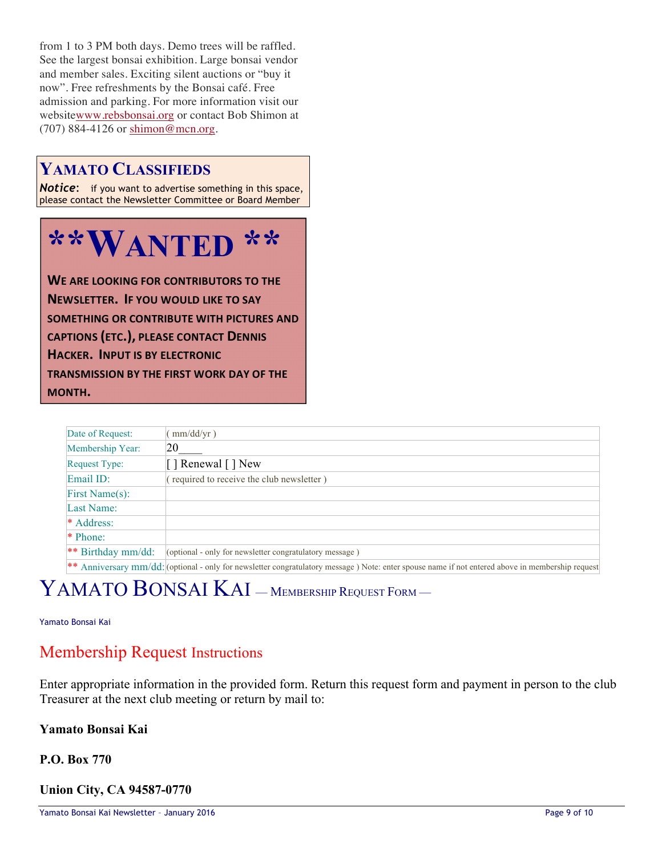from 1 to 3 PM both days. Demo trees will be raffled. See the largest bonsai exhibition. Large bonsai vendor and member sales. Exciting silent auctions or "buy it now". Free refreshments by the Bonsai café. Free admission and parking. For more information visit our websitewww.rebsbonsai.org or contact Bob Shimon at (707) 884-4126 or shimon@mcn.org.

### **YAMATO CLASSIFIEDS**

*Notice*: if you want to advertise something in this space, please contact the Newsletter Committee or Board Member

| **WANTED **                                      |
|--------------------------------------------------|
| WE ARE LOOKING FOR CONTRIBUTORS TO THE           |
| <b>NEWSLETTER. IF YOU WOULD LIKE TO SAY</b>      |
| SOMETHING OR CONTRIBUTE WITH PICTURES AND        |
| <b>CAPTIONS (ETC.), PLEASE CONTACT DENNIS</b>    |
| <b>HACKER. INPUT IS BY ELECTRONIC</b>            |
| <b>TRANSMISSION BY THE FIRST WORK DAY OF THE</b> |
| <b>MONTH.</b>                                    |

| Date of Request:      | $mm/dd/yr$ )                                                                                                                                      |
|-----------------------|---------------------------------------------------------------------------------------------------------------------------------------------------|
| Membership Year:      | 20                                                                                                                                                |
| Request Type:         | [ ] Renewal [ ] New                                                                                                                               |
| Email ID:             | required to receive the club newsletter)                                                                                                          |
| First Name $(s)$ :    |                                                                                                                                                   |
| Last Name:            |                                                                                                                                                   |
| * Address:            |                                                                                                                                                   |
| <sup>*</sup> Phone:   |                                                                                                                                                   |
| ** Birthday $mm/dd$ : | (optional - only for newsletter congratulatory message)                                                                                           |
|                       | ** Anniversary mm/dd: (optional - only for newsletter congratulatory message ) Note: enter spouse name if not entered above in membership request |

# YAMATO BONSAI KAI – MEMBERSHIP REQUEST FORM –

Yamato Bonsai Kai

### Membership Request Instructions

Enter appropriate information in the provided form. Return this request form and payment in person to the club Treasurer at the next club meeting or return by mail to:

#### **Yamato Bonsai Kai**

#### **P.O. Box 770**

#### **Union City, CA 94587-0770**